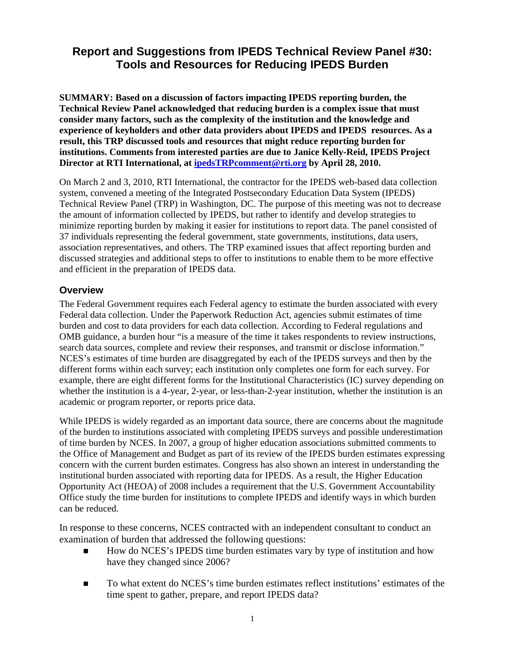# **Report and Suggestions from IPEDS Technical Review Panel #30: Tools and Resources for Reducing IPEDS Burden**

**SUMMARY: Based on a discussion of factors impacting IPEDS reporting burden, the Technical Review Panel acknowledged that reducing burden is a complex issue that must consider many factors, such as the complexity of the institution and the knowledge and experience of keyholders and other data providers about IPEDS and IPEDS resources. As a result, this TRP discussed tools and resources that might reduce reporting burden for institutions. Comments from interested parties are due to Janice Kelly-Reid, IPEDS Project Director at RTI International, at ipedsTRPcomment@rti.org by April 28, 2010.** 

On March 2 and 3, 2010, RTI International, the contractor for the IPEDS web-based data collection system, convened a meeting of the Integrated Postsecondary Education Data System (IPEDS) Technical Review Panel (TRP) in Washington, DC. The purpose of this meeting was not to decrease the amount of information collected by IPEDS, but rather to identify and develop strategies to minimize reporting burden by making it easier for institutions to report data. The panel consisted of 37 individuals representing the federal government, state governments, institutions, data users, association representatives, and others. The TRP examined issues that affect reporting burden and discussed strategies and additional steps to offer to institutions to enable them to be more effective and efficient in the preparation of IPEDS data.

## **Overview**

The Federal Government requires each Federal agency to estimate the burden associated with every Federal data collection. Under the Paperwork Reduction Act, agencies submit estimates of time burden and cost to data providers for each data collection. According to Federal regulations and OMB guidance, a burden hour "is a measure of the time it takes respondents to review instructions, search data sources, complete and review their responses, and transmit or disclose information." NCES's estimates of time burden are disaggregated by each of the IPEDS surveys and then by the different forms within each survey; each institution only completes one form for each survey. For example, there are eight different forms for the Institutional Characteristics (IC) survey depending on whether the institution is a 4-year, 2-year, or less-than-2-year institution, whether the institution is an academic or program reporter, or reports price data.

While IPEDS is widely regarded as an important data source, there are concerns about the magnitude of the burden to institutions associated with completing IPEDS surveys and possible underestimation of time burden by NCES. In 2007, a group of higher education associations submitted comments to the Office of Management and Budget as part of its review of the IPEDS burden estimates expressing concern with the current burden estimates. Congress has also shown an interest in understanding the institutional burden associated with reporting data for IPEDS. As a result, the Higher Education Opportunity Act (HEOA) of 2008 includes a requirement that the U.S. Government Accountability Office study the time burden for institutions to complete IPEDS and identify ways in which burden can be reduced.

In response to these concerns, NCES contracted with an independent consultant to conduct an examination of burden that addressed the following questions:

- How do NCES's IPEDS time burden estimates vary by type of institution and how have they changed since 2006?
- To what extent do NCES's time burden estimates reflect institutions' estimates of the time spent to gather, prepare, and report IPEDS data?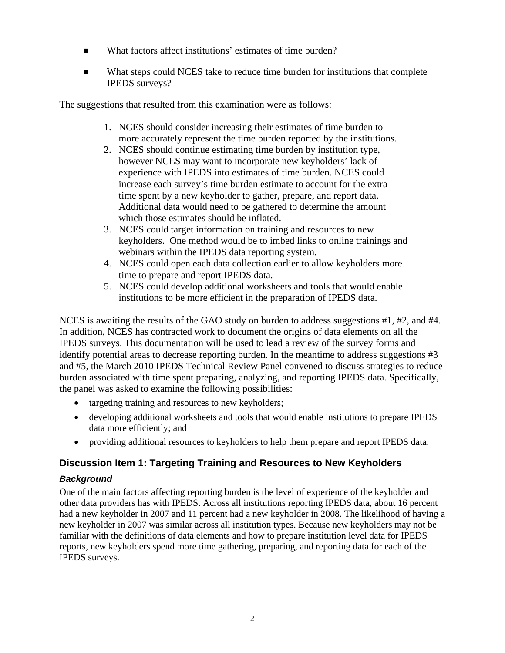- What factors affect institutions' estimates of time burden?
- What steps could NCES take to reduce time burden for institutions that complete IPEDS surveys?

The suggestions that resulted from this examination were as follows:

- 1. NCES should consider increasing their estimates of time burden to more accurately represent the time burden reported by the institutions.
- 2. NCES should continue estimating time burden by institution type, however NCES may want to incorporate new keyholders' lack of experience with IPEDS into estimates of time burden. NCES could increase each survey's time burden estimate to account for the extra time spent by a new keyholder to gather, prepare, and report data. Additional data would need to be gathered to determine the amount which those estimates should be inflated.
- 3. NCES could target information on training and resources to new keyholders. One method would be to imbed links to online trainings and webinars within the IPEDS data reporting system.
- 4. NCES could open each data collection earlier to allow keyholders more time to prepare and report IPEDS data.
- 5. NCES could develop additional worksheets and tools that would enable institutions to be more efficient in the preparation of IPEDS data.

NCES is awaiting the results of the GAO study on burden to address suggestions #1, #2, and #4. In addition, NCES has contracted work to document the origins of data elements on all the IPEDS surveys. This documentation will be used to lead a review of the survey forms and identify potential areas to decrease reporting burden. In the meantime to address suggestions #3 and #5, the March 2010 IPEDS Technical Review Panel convened to discuss strategies to reduce burden associated with time spent preparing, analyzing, and reporting IPEDS data. Specifically, the panel was asked to examine the following possibilities:

- targeting training and resources to new keyholders;
- developing additional worksheets and tools that would enable institutions to prepare IPEDS data more efficiently; and
- providing additional resources to keyholders to help them prepare and report IPEDS data.

## **Discussion Item 1: Targeting Training and Resources to New Keyholders**

#### *Background*

One of the main factors affecting reporting burden is the level of experience of the keyholder and other data providers has with IPEDS. Across all institutions reporting IPEDS data, about 16 percent had a new keyholder in 2007 and 11 percent had a new keyholder in 2008. The likelihood of having a new keyholder in 2007 was similar across all institution types. Because new keyholders may not be familiar with the definitions of data elements and how to prepare institution level data for IPEDS reports, new keyholders spend more time gathering, preparing, and reporting data for each of the IPEDS surveys.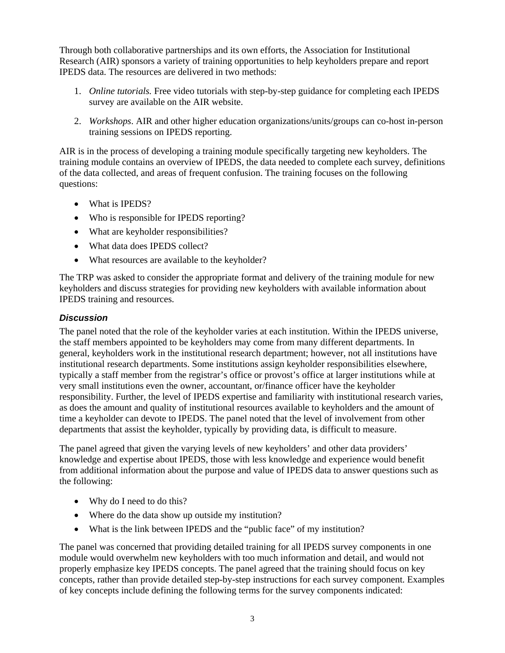Through both collaborative partnerships and its own efforts, the Association for Institutional Research (AIR) sponsors a variety of training opportunities to help keyholders prepare and report IPEDS data. The resources are delivered in two methods:

- 1. *Online tutorials.* Free video tutorials with step-by-step guidance for completing each IPEDS survey are available on the AIR website.
- 2. *Workshops*. AIR and other higher education organizations/units/groups can co-host in-person training sessions on IPEDS reporting.

AIR is in the process of developing a training module specifically targeting new keyholders. The training module contains an overview of IPEDS, the data needed to complete each survey, definitions of the data collected, and areas of frequent confusion. The training focuses on the following questions:

- What is IPEDS?
- Who is responsible for IPEDS reporting?
- What are keyholder responsibilities?
- What data does IPEDS collect?
- What resources are available to the keyholder?

The TRP was asked to consider the appropriate format and delivery of the training module for new keyholders and discuss strategies for providing new keyholders with available information about IPEDS training and resources.

#### *Discussion*

The panel noted that the role of the keyholder varies at each institution. Within the IPEDS universe, the staff members appointed to be keyholders may come from many different departments. In general, keyholders work in the institutional research department; however, not all institutions have institutional research departments. Some institutions assign keyholder responsibilities elsewhere, typically a staff member from the registrar's office or provost's office at larger institutions while at very small institutions even the owner, accountant, or/finance officer have the keyholder responsibility. Further, the level of IPEDS expertise and familiarity with institutional research varies, as does the amount and quality of institutional resources available to keyholders and the amount of time a keyholder can devote to IPEDS. The panel noted that the level of involvement from other departments that assist the keyholder, typically by providing data, is difficult to measure.

The panel agreed that given the varying levels of new keyholders' and other data providers' knowledge and expertise about IPEDS, those with less knowledge and experience would benefit from additional information about the purpose and value of IPEDS data to answer questions such as the following:

- Why do I need to do this?
- Where do the data show up outside my institution?
- What is the link between IPEDS and the "public face" of my institution?

The panel was concerned that providing detailed training for all IPEDS survey components in one module would overwhelm new keyholders with too much information and detail, and would not properly emphasize key IPEDS concepts. The panel agreed that the training should focus on key concepts, rather than provide detailed step-by-step instructions for each survey component. Examples of key concepts include defining the following terms for the survey components indicated: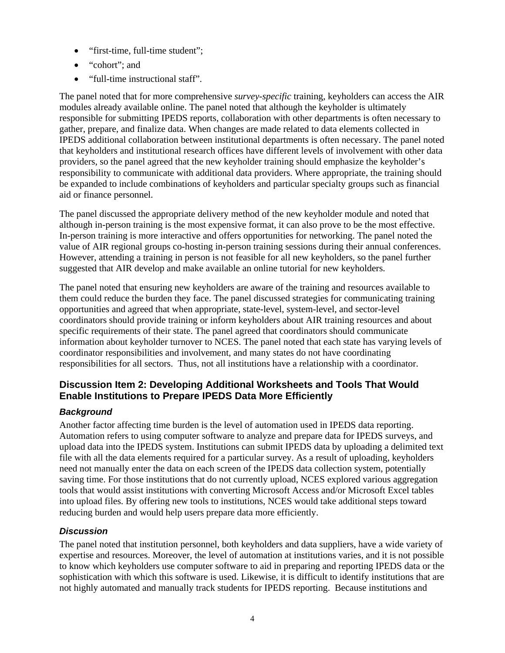- "first-time, full-time student";
- "cohort": and
- "full-time instructional staff".

The panel noted that for more comprehensive *survey-specific* training, keyholders can access the AIR modules already available online. The panel noted that although the keyholder is ultimately responsible for submitting IPEDS reports, collaboration with other departments is often necessary to gather, prepare, and finalize data. When changes are made related to data elements collected in IPEDS additional collaboration between institutional departments is often necessary. The panel noted that keyholders and institutional research offices have different levels of involvement with other data providers, so the panel agreed that the new keyholder training should emphasize the keyholder's responsibility to communicate with additional data providers. Where appropriate, the training should be expanded to include combinations of keyholders and particular specialty groups such as financial aid or finance personnel.

The panel discussed the appropriate delivery method of the new keyholder module and noted that although in-person training is the most expensive format, it can also prove to be the most effective. In-person training is more interactive and offers opportunities for networking. The panel noted the value of AIR regional groups co-hosting in-person training sessions during their annual conferences. However, attending a training in person is not feasible for all new keyholders, so the panel further suggested that AIR develop and make available an online tutorial for new keyholders.

The panel noted that ensuring new keyholders are aware of the training and resources available to them could reduce the burden they face. The panel discussed strategies for communicating training opportunities and agreed that when appropriate, state-level, system-level, and sector-level coordinators should provide training or inform keyholders about AIR training resources and about specific requirements of their state. The panel agreed that coordinators should communicate information about keyholder turnover to NCES. The panel noted that each state has varying levels of coordinator responsibilities and involvement, and many states do not have coordinating responsibilities for all sectors. Thus, not all institutions have a relationship with a coordinator.

## **Discussion Item 2: Developing Additional Worksheets and Tools That Would Enable Institutions to Prepare IPEDS Data More Efficiently**

## *Background*

Another factor affecting time burden is the level of automation used in IPEDS data reporting. Automation refers to using computer software to analyze and prepare data for IPEDS surveys, and upload data into the IPEDS system. Institutions can submit IPEDS data by uploading a delimited text file with all the data elements required for a particular survey. As a result of uploading, keyholders need not manually enter the data on each screen of the IPEDS data collection system, potentially saving time. For those institutions that do not currently upload, NCES explored various aggregation tools that would assist institutions with converting Microsoft Access and/or Microsoft Excel tables into upload files. By offering new tools to institutions, NCES would take additional steps toward reducing burden and would help users prepare data more efficiently.

#### *Discussion*

The panel noted that institution personnel, both keyholders and data suppliers, have a wide variety of expertise and resources. Moreover, the level of automation at institutions varies, and it is not possible to know which keyholders use computer software to aid in preparing and reporting IPEDS data or the sophistication with which this software is used. Likewise, it is difficult to identify institutions that are not highly automated and manually track students for IPEDS reporting. Because institutions and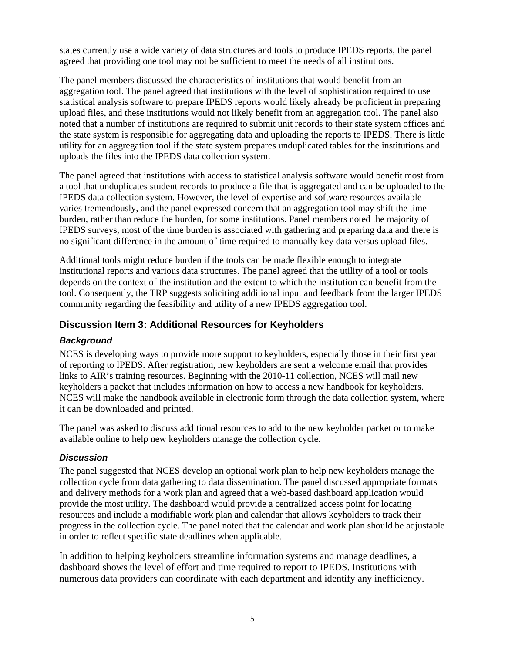states currently use a wide variety of data structures and tools to produce IPEDS reports, the panel agreed that providing one tool may not be sufficient to meet the needs of all institutions.

The panel members discussed the characteristics of institutions that would benefit from an aggregation tool. The panel agreed that institutions with the level of sophistication required to use statistical analysis software to prepare IPEDS reports would likely already be proficient in preparing upload files, and these institutions would not likely benefit from an aggregation tool. The panel also noted that a number of institutions are required to submit unit records to their state system offices and the state system is responsible for aggregating data and uploading the reports to IPEDS. There is little utility for an aggregation tool if the state system prepares unduplicated tables for the institutions and uploads the files into the IPEDS data collection system.

The panel agreed that institutions with access to statistical analysis software would benefit most from a tool that unduplicates student records to produce a file that is aggregated and can be uploaded to the IPEDS data collection system. However, the level of expertise and software resources available varies tremendously, and the panel expressed concern that an aggregation tool may shift the time burden, rather than reduce the burden, for some institutions. Panel members noted the majority of IPEDS surveys, most of the time burden is associated with gathering and preparing data and there is no significant difference in the amount of time required to manually key data versus upload files.

Additional tools might reduce burden if the tools can be made flexible enough to integrate institutional reports and various data structures. The panel agreed that the utility of a tool or tools depends on the context of the institution and the extent to which the institution can benefit from the tool. Consequently, the TRP suggests soliciting additional input and feedback from the larger IPEDS community regarding the feasibility and utility of a new IPEDS aggregation tool.

### **Discussion Item 3: Additional Resources for Keyholders**

#### *Background*

NCES is developing ways to provide more support to keyholders, especially those in their first year of reporting to IPEDS. After registration, new keyholders are sent a welcome email that provides links to AIR's training resources. Beginning with the 2010-11 collection, NCES will mail new keyholders a packet that includes information on how to access a new handbook for keyholders. NCES will make the handbook available in electronic form through the data collection system, where it can be downloaded and printed.

The panel was asked to discuss additional resources to add to the new keyholder packet or to make available online to help new keyholders manage the collection cycle.

#### *Discussion*

The panel suggested that NCES develop an optional work plan to help new keyholders manage the collection cycle from data gathering to data dissemination. The panel discussed appropriate formats and delivery methods for a work plan and agreed that a web-based dashboard application would provide the most utility. The dashboard would provide a centralized access point for locating resources and include a modifiable work plan and calendar that allows keyholders to track their progress in the collection cycle. The panel noted that the calendar and work plan should be adjustable in order to reflect specific state deadlines when applicable.

In addition to helping keyholders streamline information systems and manage deadlines, a dashboard shows the level of effort and time required to report to IPEDS. Institutions with numerous data providers can coordinate with each department and identify any inefficiency.